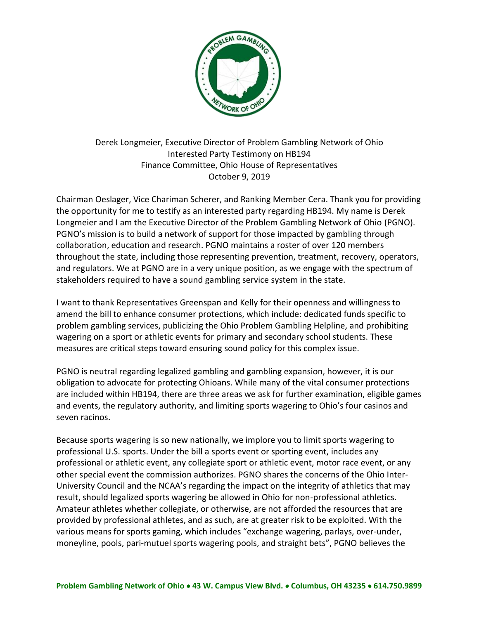

Derek Longmeier, Executive Director of Problem Gambling Network of Ohio Interested Party Testimony on HB194 Finance Committee, Ohio House of Representatives October 9, 2019

Chairman Oeslager, Vice Chariman Scherer, and Ranking Member Cera. Thank you for providing the opportunity for me to testify as an interested party regarding HB194. My name is Derek Longmeier and I am the Executive Director of the Problem Gambling Network of Ohio (PGNO). PGNO's mission is to build a network of support for those impacted by gambling through collaboration, education and research. PGNO maintains a roster of over 120 members throughout the state, including those representing prevention, treatment, recovery, operators, and regulators. We at PGNO are in a very unique position, as we engage with the spectrum of stakeholders required to have a sound gambling service system in the state.

I want to thank Representatives Greenspan and Kelly for their openness and willingness to amend the bill to enhance consumer protections, which include: dedicated funds specific to problem gambling services, publicizing the Ohio Problem Gambling Helpline, and prohibiting wagering on a sport or athletic events for primary and secondary school students. These measures are critical steps toward ensuring sound policy for this complex issue.

PGNO is neutral regarding legalized gambling and gambling expansion, however, it is our obligation to advocate for protecting Ohioans. While many of the vital consumer protections are included within HB194, there are three areas we ask for further examination, eligible games and events, the regulatory authority, and limiting sports wagering to Ohio's four casinos and seven racinos.

Because sports wagering is so new nationally, we implore you to limit sports wagering to professional U.S. sports. Under the bill a sports event or sporting event, includes any professional or athletic event, any collegiate sport or athletic event, motor race event, or any other special event the commission authorizes. PGNO shares the concerns of the Ohio Inter-University Council and the NCAA's regarding the impact on the integrity of athletics that may result, should legalized sports wagering be allowed in Ohio for non-professional athletics. Amateur athletes whether collegiate, or otherwise, are not afforded the resources that are provided by professional athletes, and as such, are at greater risk to be exploited. With the various means for sports gaming, which includes "exchange wagering, parlays, over-under, moneyline, pools, pari-mutuel sports wagering pools, and straight bets", PGNO believes the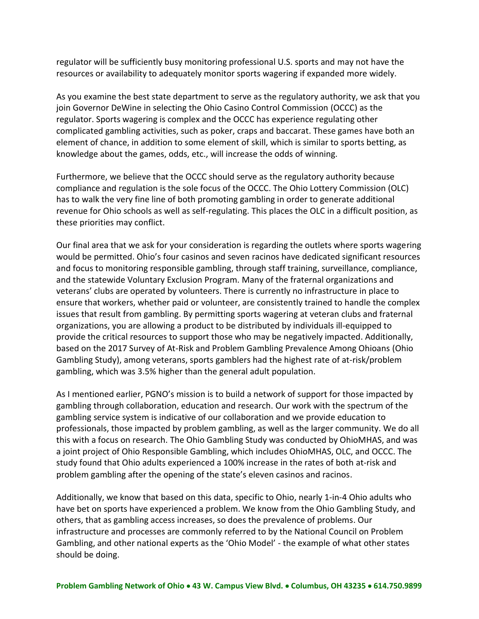regulator will be sufficiently busy monitoring professional U.S. sports and may not have the resources or availability to adequately monitor sports wagering if expanded more widely.

As you examine the best state department to serve as the regulatory authority, we ask that you join Governor DeWine in selecting the Ohio Casino Control Commission (OCCC) as the regulator. Sports wagering is complex and the OCCC has experience regulating other complicated gambling activities, such as poker, craps and baccarat. These games have both an element of chance, in addition to some element of skill, which is similar to sports betting, as knowledge about the games, odds, etc., will increase the odds of winning.

Furthermore, we believe that the OCCC should serve as the regulatory authority because compliance and regulation is the sole focus of the OCCC. The Ohio Lottery Commission (OLC) has to walk the very fine line of both promoting gambling in order to generate additional revenue for Ohio schools as well as self-regulating. This places the OLC in a difficult position, as these priorities may conflict.

Our final area that we ask for your consideration is regarding the outlets where sports wagering would be permitted. Ohio's four casinos and seven racinos have dedicated significant resources and focus to monitoring responsible gambling, through staff training, surveillance, compliance, and the statewide Voluntary Exclusion Program. Many of the fraternal organizations and veterans' clubs are operated by volunteers. There is currently no infrastructure in place to ensure that workers, whether paid or volunteer, are consistently trained to handle the complex issues that result from gambling. By permitting sports wagering at veteran clubs and fraternal organizations, you are allowing a product to be distributed by individuals ill-equipped to provide the critical resources to support those who may be negatively impacted. Additionally, based on the 2017 Survey of At-Risk and Problem Gambling Prevalence Among Ohioans (Ohio Gambling Study), among veterans, sports gamblers had the highest rate of at-risk/problem gambling, which was 3.5% higher than the general adult population.

As I mentioned earlier, PGNO's mission is to build a network of support for those impacted by gambling through collaboration, education and research. Our work with the spectrum of the gambling service system is indicative of our collaboration and we provide education to professionals, those impacted by problem gambling, as well as the larger community. We do all this with a focus on research. The Ohio Gambling Study was conducted by OhioMHAS, and was a joint project of Ohio Responsible Gambling, which includes OhioMHAS, OLC, and OCCC. The study found that Ohio adults experienced a 100% increase in the rates of both at-risk and problem gambling after the opening of the state's eleven casinos and racinos.

Additionally, we know that based on this data, specific to Ohio, nearly 1-in-4 Ohio adults who have bet on sports have experienced a problem. We know from the Ohio Gambling Study, and others, that as gambling access increases, so does the prevalence of problems. Our infrastructure and processes are commonly referred to by the National Council on Problem Gambling, and other national experts as the 'Ohio Model' - the example of what other states should be doing.